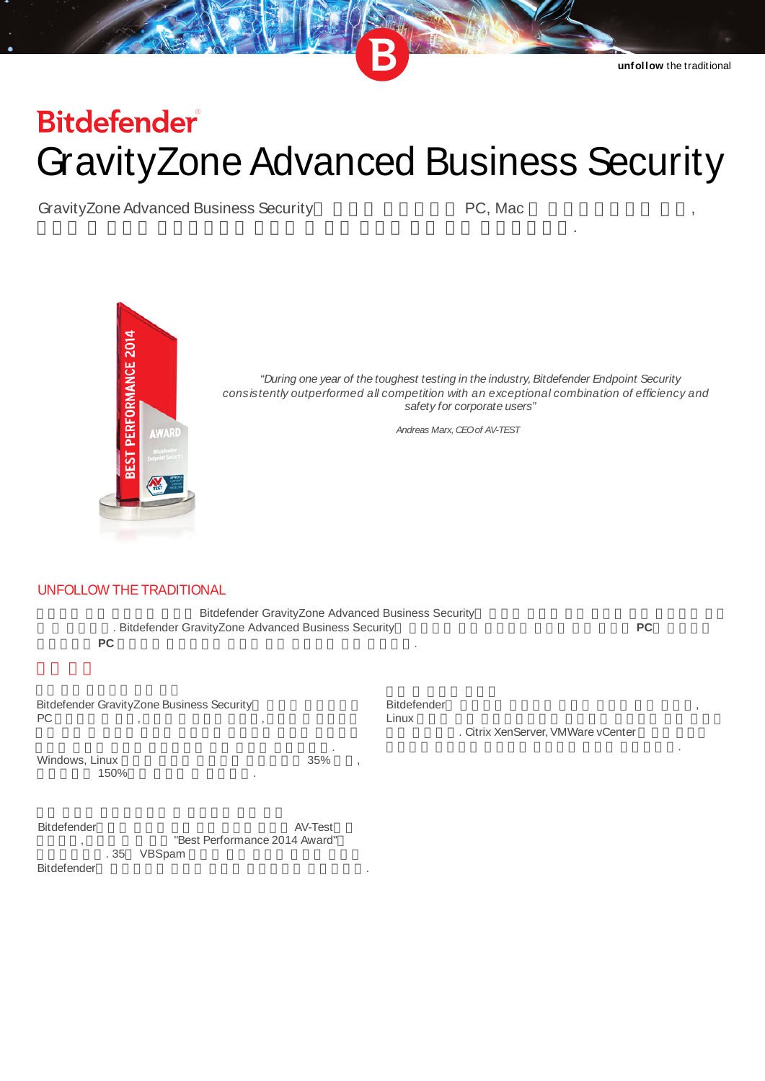# **Bitdefender GravityZone Advanced Business Security**

GravityZone Advanced Business Security

PC, Mac



"During one year of the toughest testing in the industry, Bitdefender Endpoint Security consistently outperformed all competition with an exceptional combination of efficiency and safety for corporate users"

Andreas Marx, CEO of AV-TEST

## UNFOLLOW THE TRADITIONAL

Bitdefender GravityZone Advanced Business Security . Bitdefender GravityZone Advanced Business Security **PC** 

**PC** 

Bitdefender GravityZone Business Security  $PC$ 

Windows, Linux 35% 150%

Bitdefender Linux

. Citrix XenServer, VMWare vCenter

Bitdefender  $AV-Test$ "Best Performance 2014 Award" .35 VBSpam Bitdefender